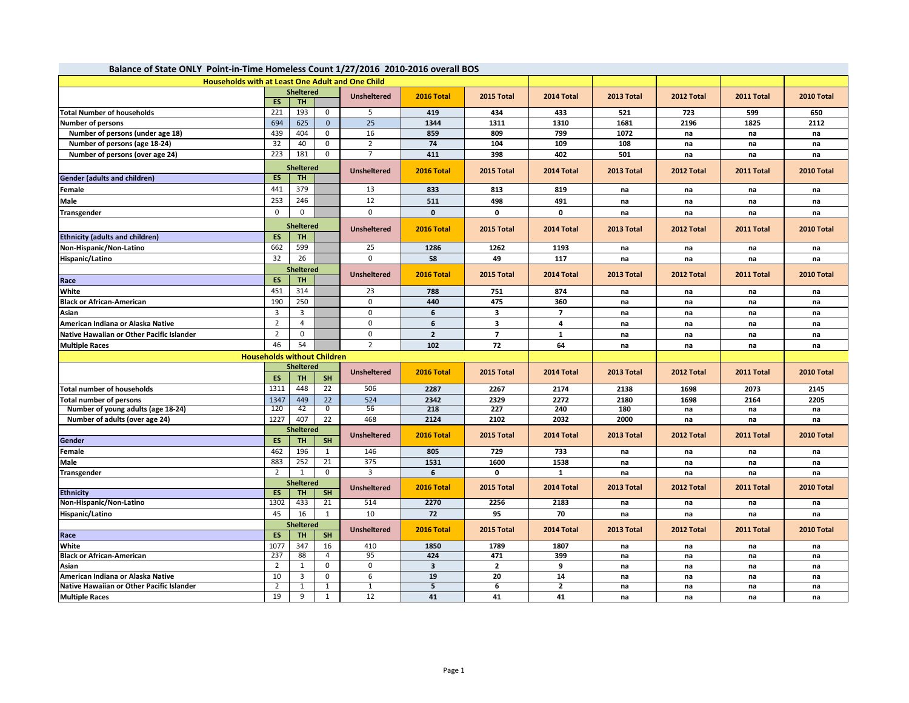| Balance of State ONLY Point-in-Time Homeless Count 1/27/2016 2010-2016 overall BOS |                  |                                    |                |                    |                         |                         |                |            |            |            |            |  |
|------------------------------------------------------------------------------------|------------------|------------------------------------|----------------|--------------------|-------------------------|-------------------------|----------------|------------|------------|------------|------------|--|
| <b>Households with at Least One Adult and One Child</b>                            |                  |                                    |                |                    |                         |                         |                |            |            |            |            |  |
|                                                                                    |                  | <b>Sheltered</b>                   |                | <b>Unsheltered</b> | 2016 Total              | 2015 Total              | 2014 Total     | 2013 Total | 2012 Total | 2011 Total | 2010 Total |  |
|                                                                                    | <b>ES</b>        | <b>TH</b>                          |                |                    |                         |                         |                |            |            |            |            |  |
| <b>Total Number of households</b>                                                  | 221              | 193                                | $\mathbf{0}$   | 5                  | 419                     | 434                     | 433            | 521        | 723        | 599        | 650        |  |
| <b>Number of persons</b>                                                           | 694              | 625                                | $\Omega$       | 25                 | 1344                    | 1311                    | 1310           | 1681       | 2196       | 1825       | 2112       |  |
| Number of persons (under age 18)                                                   | 439              | 404                                | $\mathbf 0$    | 16                 | 859                     | 809                     | 799            | 1072       | na         | na         | na         |  |
| Number of persons (age 18-24)                                                      | 32               | 40                                 | $\mathbf{0}$   | $\overline{2}$     | 74                      | 104                     | 109            | 108        | na         | na         | na         |  |
| Number of persons (over age 24)                                                    | 223              | 181                                | $\mathbf 0$    | $\overline{7}$     | 411                     | 398                     | 402            | 501        | na         | na         | na         |  |
|                                                                                    |                  | <b>Sheltered</b>                   |                | <b>Unsheltered</b> | 2016 Total              | 2015 Total              | 2014 Total     | 2013 Total | 2012 Total | 2011 Total | 2010 Total |  |
| <b>Gender (adults and children)</b>                                                | ES               | <b>TH</b>                          |                |                    |                         |                         |                |            |            |            |            |  |
| Female                                                                             | 441              | 379                                |                | 13                 | 833                     | 813                     | 819            | na         | na         | na         | na         |  |
| Male                                                                               | 253              | 246                                |                | 12                 | 511                     | 498                     | 491            | na         | na         | na         | na         |  |
| Transgender                                                                        | $\mathbf 0$      | 0                                  |                | $\mathbf 0$        | $\mathbf{0}$            | 0                       | 0              | na         | na         | na         | na         |  |
|                                                                                    |                  | <b>Sheltered</b>                   |                |                    |                         |                         |                |            |            |            |            |  |
| <b>Ethnicity (adults and children)</b>                                             | ES               | <b>TH</b>                          |                | <b>Unsheltered</b> | 2016 Total              | 2015 Total              | 2014 Total     | 2013 Total | 2012 Total | 2011 Total | 2010 Total |  |
| Non-Hispanic/Non-Latino                                                            | 662              | 599                                |                | 25                 | 1286                    | 1262                    | 1193           |            |            |            |            |  |
|                                                                                    | 32               | 26                                 |                | $\Omega$           | 58                      |                         |                | na         | na         | na         | na         |  |
| Hispanic/Latino                                                                    |                  |                                    |                |                    |                         | 49                      | 117            | na         | na         | na         | na         |  |
|                                                                                    |                  | <b>Sheltered</b>                   |                | <b>Unsheltered</b> | 2016 Total              | 2015 Total              | 2014 Total     | 2013 Total | 2012 Total | 2011 Total | 2010 Total |  |
| Race                                                                               | ES               | <b>TH</b>                          |                |                    |                         |                         |                |            |            |            |            |  |
| White                                                                              | 451              | 314                                |                | 23                 | 788                     | 751                     | 874            | na         | na         | na         | na         |  |
| <b>Black or African-American</b>                                                   | 190              | 250                                |                | 0                  | 440                     | 475                     | 360            | na         | na         | na         | na         |  |
| Asian                                                                              | 3                | 3                                  |                | $\mathbf 0$        | 6                       | 3                       | $\overline{7}$ | na         | na         | na         | na         |  |
| American Indiana or Alaska Native                                                  | $\overline{2}$   | $\overline{4}$                     |                | $\mathbf 0$        | 6                       | $\overline{\mathbf{3}}$ | 4              | na         | na         | na         | na         |  |
| Native Hawaiian or Other Pacific Islander                                          | $\overline{2}$   | $\mathbf 0$                        |                | 0                  | $\overline{2}$          | $\overline{7}$          | $\mathbf{1}$   | na         | na         | na         | na         |  |
| <b>Multiple Races</b>                                                              | 46               | 54                                 |                | $\overline{2}$     | 102                     | 72                      | 64             | na         | na         | na         | na         |  |
|                                                                                    |                  | <b>Households without Children</b> |                |                    |                         |                         |                |            |            |            |            |  |
|                                                                                    | <b>Sheltered</b> |                                    |                | <b>Unsheltered</b> | 2016 Total              | 2015 Total              | 2014 Total     | 2013 Total | 2012 Total | 2011 Total | 2010 Total |  |
|                                                                                    | ES               | <b>TH</b>                          | <b>SH</b>      |                    |                         |                         |                |            |            |            |            |  |
| <b>Total number of households</b>                                                  | 1311             | 448                                | 22             | 506                | 2287                    | 2267                    | 2174           | 2138       | 1698       | 2073       | 2145       |  |
| Total number of persons                                                            | 1347             | 449                                | 22             | 524                | 2342                    | 2329                    | 2272           | 2180       | 1698       | 2164       | 2205       |  |
| Number of young adults (age 18-24)                                                 | 120              | 42                                 | $\overline{0}$ | 56                 | 218                     | 227                     | 240            | 180        | na         | na         | na         |  |
| Number of adults (over age 24)                                                     | 1227             | 407                                | 22             | 468                | 2124                    | 2102                    | 2032           | 2000       | na         | na         | na         |  |
|                                                                                    |                  | <b>Sheltered</b>                   |                | <b>Unsheltered</b> | 2016 Total              | 2015 Total              | 2014 Total     | 2013 Total | 2012 Total | 2011 Total | 2010 Total |  |
| <b>Gender</b>                                                                      | ES               | TH                                 | <b>SH</b>      |                    |                         |                         |                |            |            |            |            |  |
| Female                                                                             | 462              | 196                                | 1              | 146                | 805                     | 729                     | 733            | na         | na         | na         | na         |  |
| Male                                                                               | 883              | 252                                | 21             | 375                | 1531                    | 1600                    | 1538           | na         | na         | na         | na         |  |
| Transgender                                                                        | $\overline{2}$   | 1                                  | $\mathbf{0}$   | $\overline{3}$     | 6                       | 0                       | $\mathbf{1}$   | na         | na         | na         | na         |  |
|                                                                                    |                  | <b>Sheltered</b>                   |                | <b>Unsheltered</b> | 2016 Total              | 2015 Total              | 2014 Total     | 2013 Total | 2012 Total | 2011 Total | 2010 Total |  |
| <b>Ethnicity</b>                                                                   | <b>ES</b>        | <b>TH</b>                          | SH             |                    |                         |                         |                |            |            |            |            |  |
| Non-Hispanic/Non-Latino                                                            | 1302             | 433                                | 21             | 514                | 2270                    | 2256                    | 2183           | na         | na         | na         | na         |  |
| Hispanic/Latino                                                                    | 45               | 16                                 | 1              | 10                 | 72                      | 95                      | 70             | na         | na         | na         | na         |  |
|                                                                                    |                  | <b>Sheltered</b>                   |                | <b>Unsheltered</b> | 2016 Total              | 2015 Total              | 2014 Total     | 2013 Total | 2012 Total |            |            |  |
| Race                                                                               | <b>ES</b>        | TH.                                | <b>SH</b>      |                    |                         |                         |                |            |            | 2011 Total | 2010 Total |  |
| White                                                                              | 1077             | 347                                | 16             | 410                | 1850                    | 1789                    | 1807           | na         | na         | na         | na         |  |
| <b>Black or African-American</b>                                                   | 237              | 88                                 | 4              | 95                 | 424                     | 471                     | 399            | na         | na         | na         | na         |  |
| Asian                                                                              | $\overline{2}$   | $\mathbf{1}$                       | $\mathbf 0$    | 0                  | $\overline{\mathbf{3}}$ | $\overline{2}$          | 9              | na         | na         | na         | na         |  |
| American Indiana or Alaska Native                                                  | 10               | 3                                  | $\mathbf 0$    | 6                  | 19                      | 20                      | 14             | na         | na         | na         | na         |  |
| Native Hawaiian or Other Pacific Islander                                          | $\overline{2}$   | $\mathbf{1}$                       | 1              | $\mathbf{1}$       | $\overline{5}$          | 6                       | $\overline{2}$ | na         | na         | na         | na         |  |
| <b>Multiple Races</b>                                                              | 19               | 9                                  | 1              | 12                 | 41                      | 41                      | 41             | na         | na         | na         | na         |  |

## **Balance of State ONLY Point-in-Time Homeless Count 1/27/2016 2010-2016 overall BOS**

**COL**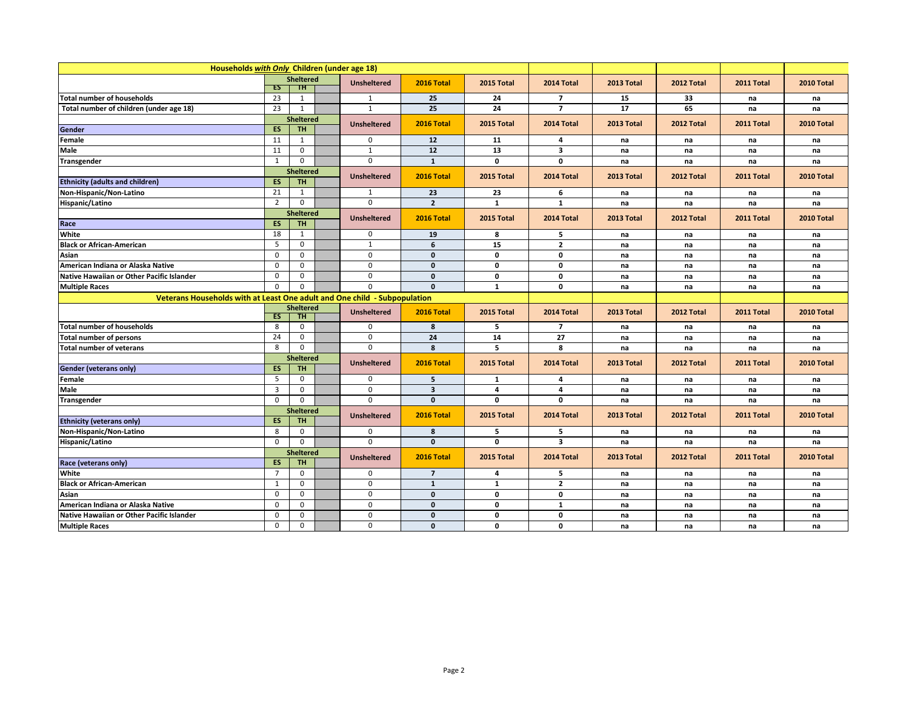| Households with Only Children (under age 18)                              |                  |                  |  |                    |                         |              |                         |            |            |            |            |
|---------------------------------------------------------------------------|------------------|------------------|--|--------------------|-------------------------|--------------|-------------------------|------------|------------|------------|------------|
|                                                                           | <b>Sheltered</b> |                  |  | <b>Unsheltered</b> | 2016 Total              | 2015 Total   | 2014 Total              | 2013 Total | 2012 Total | 2011 Total | 2010 Total |
|                                                                           | ES               | TH.              |  |                    |                         |              |                         |            |            |            |            |
| Total number of households                                                | 23               | 1                |  | 1                  | 25                      | 24           | $\overline{7}$          | 15         | 33         | na         | na         |
| Total number of children (under age 18)                                   | 23               | $\mathbf{1}$     |  | $\mathbf{1}$       | 25                      | 24           | $\overline{7}$          | 17         | 65         | na         | na         |
|                                                                           |                  | <b>Sheltered</b> |  | <b>Unsheltered</b> | 2016 Total              | 2015 Total   | 2014 Total              | 2013 Total | 2012 Total | 2011 Total | 2010 Total |
| Gender                                                                    | ES               | <b>TH</b>        |  |                    |                         |              |                         |            |            |            |            |
| Female                                                                    | 11               | $\mathbf{1}$     |  | $\mathbf 0$        | 12                      | 11           | 4                       | na         | na         | na         | na         |
| Male                                                                      | 11               | $\mathbf 0$      |  | $\mathbf{1}$       | $12$                    | 13           | 3                       | na         | na         | na         | na         |
| Transgender                                                               | 1                | $\mathbf 0$      |  | $\mathbf 0$        | $\mathbf{1}$            | $\mathbf 0$  | 0                       | na         | na         | na         | na         |
|                                                                           |                  | Sheltered        |  | <b>Unsheltered</b> | 2016 Total              | 2015 Total   | 2014 Total              | 2013 Total | 2012 Total | 2011 Total | 2010 Total |
| <b>Ethnicity (adults and children)</b>                                    | ES               | <b>TH</b>        |  |                    |                         |              |                         |            |            |            |            |
| Non-Hispanic/Non-Latino                                                   | 21               | $\mathbf{1}$     |  | $\mathbf{1}$       | 23                      | 23           | 6                       | na         | na         | na         | na         |
| Hispanic/Latino                                                           | $\overline{2}$   | $\mathbf 0$      |  | $\Omega$           | $\overline{2}$          | $\mathbf{1}$ | $\mathbf{1}$            | na         | na         | na         | na         |
|                                                                           |                  | <b>Sheltered</b> |  | <b>Unsheltered</b> | 2016 Total              | 2015 Total   | 2014 Total              | 2013 Total | 2012 Total | 2011 Total | 2010 Total |
| Race                                                                      | <b>ES</b>        | <b>TH</b>        |  |                    |                         |              |                         |            |            |            |            |
| White                                                                     | 18               | $\mathbf{1}$     |  | $\mathbf 0$        | 19                      | 8            | 5                       | na         | na         | na         | na         |
| <b>Black or African-American</b>                                          | 5                | $\mathbf 0$      |  | $\mathbf{1}$       | 6                       | 15           | $\mathbf{2}$            | na         | na         | na         | na         |
| Asian                                                                     | 0                | $\mathbf 0$      |  | $\pmb{0}$          | $\mathbf{0}$            | $\mathbf 0$  | $\mathbf 0$             | na         | na         | na         | na         |
| American Indiana or Alaska Native                                         | $\Omega$         | $\Omega$         |  | $\Omega$           | $\mathbf{0}$            | 0            | 0                       | na         | na         | na         | na         |
| Native Hawaiian or Other Pacific Islander                                 | $\mathbf 0$      | $\mathbf 0$      |  | $\mathbf 0$        | $\mathbf{0}$            | $\mathbf 0$  | $\mathbf 0$             | na         | na         | na         | na         |
| <b>Multiple Races</b>                                                     | $\Omega$         | $\Omega$         |  | $\overline{0}$     | $\mathbf{0}$            | $\mathbf{1}$ | 0                       | na         | na         | na         | na         |
| Veterans Households with at Least One adult and One child - Subpopulation |                  |                  |  |                    |                         |              |                         |            |            |            |            |
|                                                                           |                  | <b>Sheltered</b> |  | <b>Unsheltered</b> | 2016 Total              | 2015 Total   | 2014 Total              | 2013 Total | 2012 Total | 2011 Total | 2010 Total |
|                                                                           | ES               | TH               |  |                    |                         |              |                         |            |            |            |            |
| <b>Total number of households</b>                                         | 8                | $\mathbf 0$      |  | $\mathbf 0$        | 8                       | 5            | $\overline{7}$          | na         | na         | na         | na         |
| <b>Total number of persons</b>                                            | 24               | $\mathbf 0$      |  | $\mathbf 0$        | 24                      | 14           | 27                      | na         | na         | na         | na         |
| <b>Total number of veterans</b>                                           | 8                | $\mathbf 0$      |  | $\mathbf 0$        | 8                       | 5            | 8                       | na         | na         | na         | na         |
|                                                                           |                  | <b>Sheltered</b> |  | <b>Unsheltered</b> | 2016 Total              | 2015 Total   | 2014 Total              | 2013 Total | 2012 Total | 2011 Total | 2010 Total |
| Gender (veterans only)                                                    | <b>ES</b>        | <b>TH</b>        |  |                    |                         |              |                         |            |            |            |            |
| Female                                                                    | 5                | $\mathbf 0$      |  | $\mathbf 0$        | 5                       | 1            | 4                       | na         | na         | na         | na         |
| Male                                                                      | 3                | 0                |  | $\mathbf 0$        | $\overline{\mathbf{3}}$ | 4            | 4                       | na         | na         | na         | na         |
| Transgender                                                               | 0                | $\mathbf 0$      |  | $\mathbf 0$        | $\mathbf{0}$            | 0            | 0                       | na         | na         | na         | na         |
|                                                                           |                  | Sheltered        |  | <b>Unsheltered</b> | 2016 Total              | 2015 Total   | 2014 Total              | 2013 Total | 2012 Total | 2011 Total | 2010 Total |
| <b>Ethnicity (veterans only)</b>                                          | <b>ES</b>        | <b>TH</b>        |  |                    |                         |              |                         |            |            |            |            |
| Non-Hispanic/Non-Latino                                                   | 8                | $\mathbf 0$      |  | 0                  | 8                       | 5            | 5                       | na         | na         | na         | na         |
| Hispanic/Latino                                                           | $\Omega$         | $\Omega$         |  | $\Omega$           | $\mathbf{0}$            | 0            | $\overline{\mathbf{3}}$ | na         | na         | na         | na         |
|                                                                           |                  | <b>Sheltered</b> |  | <b>Unsheltered</b> | 2016 Total              | 2015 Total   | 2014 Total              | 2013 Total | 2012 Total | 2011 Total | 2010 Total |
| Race (veterans only)                                                      | ES               | <b>TH</b>        |  |                    |                         |              |                         |            |            |            |            |
| White                                                                     | $\overline{7}$   | $\mathbf 0$      |  | $\mathbf 0$        | $\overline{7}$          | 4            | 5                       | na         | na         | na         | na         |
| <b>Black or African-American</b>                                          | $\mathbf{1}$     | $\mathbf 0$      |  | $\mathbf 0$        | $\mathbf{1}$            | 1            | $\overline{\mathbf{2}}$ | na         | na         | na         | na         |
| Asian                                                                     | $\mathbf 0$      | $\mathbf 0$      |  | $\overline{0}$     | $\mathbf{0}$            | $\mathbf 0$  | $\mathbf 0$             | na         | na         | na         | na         |
| American Indiana or Alaska Native                                         | $\mathbf 0$      | $\mathbf 0$      |  | $\mathbf 0$        | $\mathbf{0}$            | $\mathbf 0$  | $\mathbf{1}$            | na         | na         | na         | na         |
| Native Hawaiian or Other Pacific Islander                                 | $\Omega$         | $\Omega$         |  | $\mathbf 0$        | $\mathbf{0}$            | $\mathbf{0}$ | 0                       | na         | na         | na         | na         |
| <b>Multiple Races</b>                                                     | $\mathbf 0$      | $\Omega$         |  | $\Omega$           | $\mathbf{0}$            | 0            | 0                       | na         | na         | na         | na         |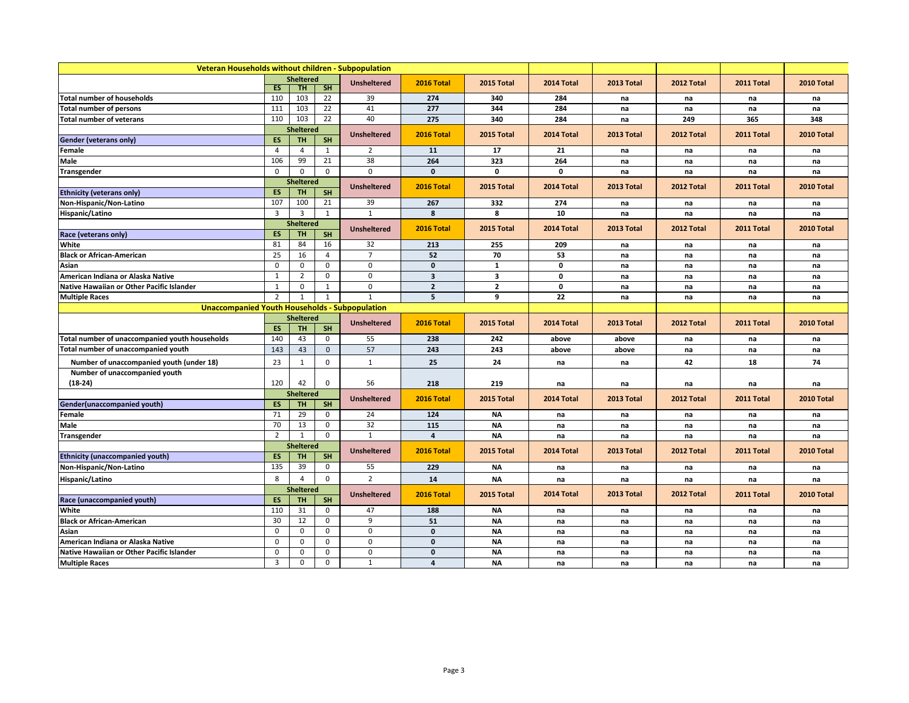|                                                       | Veteran Households without children - Subpopulation |                  |                |                          |                         |                         |              |            |            |            |            |
|-------------------------------------------------------|-----------------------------------------------------|------------------|----------------|--------------------------|-------------------------|-------------------------|--------------|------------|------------|------------|------------|
|                                                       |                                                     | <b>Sheltered</b> |                | <b>Unsheltered</b>       | 2016 Total              | 2015 Total              | 2014 Total   | 2013 Total | 2012 Total | 2011 Total | 2010 Total |
|                                                       | <b>ES</b>                                           | <b>TH</b>        | SH             |                          |                         |                         |              |            |            |            |            |
| <b>Total number of households</b>                     | 110                                                 | 103              | 22             | 39                       | 274                     | 340                     | 284          | na         | na         | na         | na         |
| <b>Total number of persons</b>                        | 111                                                 | 103              | 22             | 41                       | 277                     | 344                     | 284          | na         | na         | na         | na         |
| Total number of veterans                              | 110                                                 | 103              | 22             | 40                       | 275                     | 340                     | 284          | na         | 249        | 365        | 348        |
|                                                       |                                                     | <b>Sheltered</b> |                | <b>Unsheltered</b>       | 2016 Total              | 2015 Total              | 2014 Total   | 2013 Total | 2012 Total | 2011 Total | 2010 Total |
| Gender (veterans only)                                | <b>ES</b>                                           | <b>TH</b>        | <b>SH</b>      |                          |                         |                         |              |            |            |            |            |
| Female                                                | $\overline{4}$                                      | $\overline{4}$   | 1              | $\overline{2}$           | 11                      | 17                      | 21           | na         | na         | na         | na         |
| Male                                                  | 106                                                 | 99               | 21             | 38                       | 264                     | 323                     | 264          | na         | na         | na         | na         |
| Transgender                                           | $\mathbf 0$                                         | 0                | 0              | $\Omega$                 | $\mathbf 0$             | $\mathbf 0$             | $\mathbf{0}$ | na         | na         | na         | na         |
|                                                       |                                                     | <b>Sheltered</b> |                | <b>Unsheltered</b>       | 2016 Total              | 2015 Total              | 2014 Total   | 2013 Total | 2012 Total | 2011 Total | 2010 Total |
| <b>Ethnicity (veterans only)</b>                      | <b>ES</b>                                           | <b>TH</b>        | <b>SH</b>      |                          |                         |                         |              |            |            |            |            |
| Non-Hispanic/Non-Latino                               | 107                                                 | 100              | 21             | 39                       | 267                     | 332                     | 274          | na         | na         | na         | na         |
| Hispanic/Latino                                       | $\overline{3}$                                      | $\overline{3}$   | 1              | $\mathbf{1}$             | 8                       | 8                       | 10           | na         | na         | na         | na         |
|                                                       |                                                     | <b>Sheltered</b> |                | <b>Unsheltered</b>       | 2016 Total              | 2015 Total              | 2014 Total   | 2013 Total | 2012 Total | 2011 Total | 2010 Total |
| Race (veterans only)                                  | <b>ES</b>                                           | <b>TH</b>        | <b>SH</b>      |                          |                         |                         |              |            |            |            |            |
| White                                                 | 81                                                  | 84               | 16             | 32                       | 213                     | 255                     | 209          | na         | na         | na         | na         |
| <b>Black or African-American</b>                      | 25                                                  | 16               | $\overline{4}$ | $\overline{7}$           | 52                      | 70                      | 53           | na         | na         | na         | na         |
| Asian                                                 | $\mathbf 0$                                         | 0                | 0              | 0                        | $\mathbf 0$             | $\mathbf{1}$            | 0            | na         | na         | na         | na         |
| American Indiana or Alaska Native                     | 1                                                   | $\overline{2}$   | $\mathbf 0$    | $\mathbf 0$              | $\overline{\mathbf{3}}$ | $\overline{\mathbf{3}}$ | $\mathbf 0$  | na         | na         | na         | na         |
| Native Hawaiian or Other Pacific Islander             | $\mathbf{1}$                                        | $\mathbf 0$      | $\mathbf{1}$   | $\mathbf 0$              | $\overline{2}$          | $\mathbf{2}$            | $\mathbf 0$  | na         | na         | na         | na         |
| <b>Multiple Races</b>                                 | 2                                                   | $\mathbf{1}$     | 1              | $\mathbf{1}$             | 5                       | 9                       | 22           | na         | na         | na         | na         |
| <b>Unaccompanied Youth Households - Subpopulation</b> |                                                     |                  |                |                          |                         |                         |              |            |            |            |            |
|                                                       |                                                     | <b>Sheltered</b> |                |                          | 2016 Total              | 2015 Total              | 2014 Total   | 2013 Total | 2012 Total | 2011 Total | 2010 Total |
|                                                       | ES.                                                 | <b>TH</b>        | <b>SH</b>      | <b>Unsheltered</b>       |                         |                         |              |            |            |            |            |
| Total number of unaccompanied youth households        | 140                                                 | 43               | $\mathbf 0$    | 55                       | 238                     | 242                     | above        | above      | na         | na         | na         |
| Total number of unaccompanied youth                   | 143                                                 | 43               | $\mathbf{0}$   | 57                       | 243                     | 243                     | above        | above      | na         | na         | na         |
| Number of unaccompanied youth (under 18)              | 23                                                  | $\mathbf{1}$     | $\mathbf 0$    | $\mathbf{1}$             | 25                      | 24                      | na           | na         | 42         | 18         | 74         |
| Number of unaccompanied youth                         |                                                     |                  |                |                          |                         |                         |              |            |            |            |            |
| $(18-24)$                                             | 120                                                 | 42               | $\mathbf 0$    | 56                       | 218                     | 219                     | na           | na         | na         | na         | na         |
|                                                       |                                                     | <b>Sheltered</b> |                |                          |                         |                         |              |            |            |            |            |
| Gender(unaccompanied youth)                           | <b>ES</b>                                           | <b>TH</b>        | <b>SH</b>      | <b>Unsheltered</b>       | 2016 Total              | 2015 Total              | 2014 Total   | 2013 Total | 2012 Total | 2011 Total | 2010 Total |
| Female                                                | 71                                                  | 29               | 0              | 24                       | 124                     | ΝA                      | na           | na         | na         | na         | na         |
| Male                                                  | 70                                                  | 13               | $\mathbf 0$    | 32                       | 115                     | <b>NA</b>               | na           | na         | na         | na         | na         |
| Transgender                                           | $\overline{2}$                                      | $\mathbf{1}$     | $\mathbf 0$    | $\mathbf{1}$             | $\overline{4}$          | <b>NA</b>               | na           | na         | na         | na         | na         |
|                                                       |                                                     | <b>Sheltered</b> |                |                          |                         |                         |              |            |            |            |            |
| Ethnicity (unaccompanied youth)                       | ES                                                  | <b>TH</b>        | <b>SH</b>      | <b>Unsheltered</b>       | 2016 Total              | 2015 Total              | 2014 Total   | 2013 Total | 2012 Total | 2011 Total | 2010 Total |
| Non-Hispanic/Non-Latino                               | 135                                                 | 39               | $\mathbf 0$    | 55                       | 229                     | ΝA                      | na           | na         | na         | na         | na         |
| Hispanic/Latino                                       | 8                                                   | $\overline{4}$   | $\Omega$       | $\overline{\phantom{a}}$ | 14                      | <b>NA</b>               | na           | na         | na         | na         | na         |
|                                                       |                                                     | <b>Sheltered</b> |                |                          |                         |                         |              |            |            |            |            |
| Race (unaccompanied youth)                            | ES                                                  | <b>TH</b>        | <b>SH</b>      | <b>Unsheltered</b>       | 2016 Total              | 2015 Total              | 2014 Total   | 2013 Total | 2012 Total | 2011 Total | 2010 Total |
| White                                                 | 110                                                 | 31               | $\mathbf 0$    | 47                       | 188                     | <b>NA</b>               | na           | na         | na         | na         | na         |
| <b>Black or African-American</b>                      | 30                                                  | 12               | $\mathbf 0$    | 9                        | 51                      | <b>NA</b>               | na           | na         | na         | na         | na         |
| Asian                                                 | $\mathbf 0$                                         | 0                | $\mathbf 0$    | $\mathbf 0$              | $\mathbf 0$             | <b>NA</b>               | na           | na         | na         | na         | na         |
| American Indiana or Alaska Native                     | 0                                                   | $\Omega$         | $\mathbf 0$    | $\mathbf 0$              | $\mathbf 0$             | <b>NA</b>               | na           | na         | na         | na         | na         |
| Native Hawaiian or Other Pacific Islander             | 0                                                   | $\mathbf 0$      | $\mathbf 0$    | $\mathbf 0$              | 0                       | <b>NA</b>               | na           | na         | na         | na         | na         |
| <b>Multiple Races</b>                                 | 3                                                   | 0                | $\mathbf 0$    | $\mathbf{1}$             | $\overline{4}$          | <b>NA</b>               | na           | na         | na         | na         | na         |